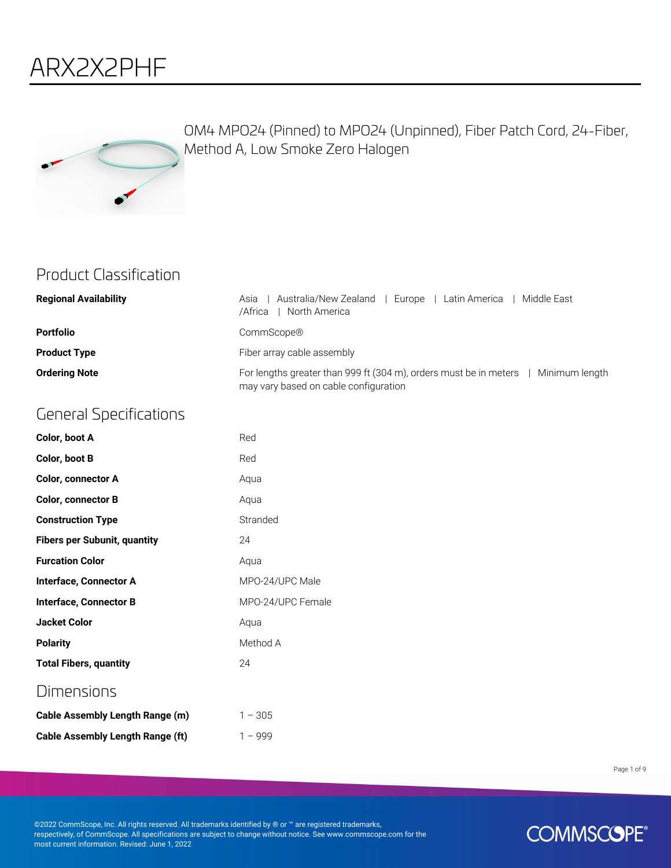# ARX2X2PHF



OM4 MPO24 (Pinned) to MPO24 (Unpinned), Fiber Patch Cord, 24-Fiber, Method A, Low Smoke Zero Halogen

### Product Classification

| <b>Regional Availability</b> | Australia/New Zealand  <br>Middle East<br>I Europe I Latin America<br>Asia<br>North America<br>/Africa                      |
|------------------------------|-----------------------------------------------------------------------------------------------------------------------------|
| <b>Portfolio</b>             | CommScope®                                                                                                                  |
| <b>Product Type</b>          | Fiber array cable assembly                                                                                                  |
| <b>Ordering Note</b>         | For lengths greater than 999 ft (304 m), orders must be in meters   Minimum length<br>may vary based on cable configuration |

# General Specifications

| Color, boot A                       | Red               |
|-------------------------------------|-------------------|
| Color, boot B                       | Red               |
| <b>Color, connector A</b>           | Aqua              |
| <b>Color, connector B</b>           | Aqua              |
| <b>Construction Type</b>            | Stranded          |
| <b>Fibers per Subunit, quantity</b> | 24                |
| <b>Furcation Color</b>              | Aqua              |
| <b>Interface, Connector A</b>       | MPO-24/UPC Male   |
| Interface, Connector B              | MPO-24/UPC Female |
| <b>Jacket Color</b>                 | Aqua              |
| <b>Polarity</b>                     | Method A          |
| <b>Total Fibers, quantity</b>       | 24                |
| Dimensions                          |                   |
| Cable Assembly Length Range (m)     | $1 - 305$         |

**Cable Assembly Length Range (ft)** 1 – 999

Page 1 of 9

©2022 CommScope, Inc. All rights reserved. All trademarks identified by ® or ™ are registered trademarks, respectively, of CommScope. All specifications are subject to change without notice. See www.commscope.com for the most current information. Revised: June 1, 2022

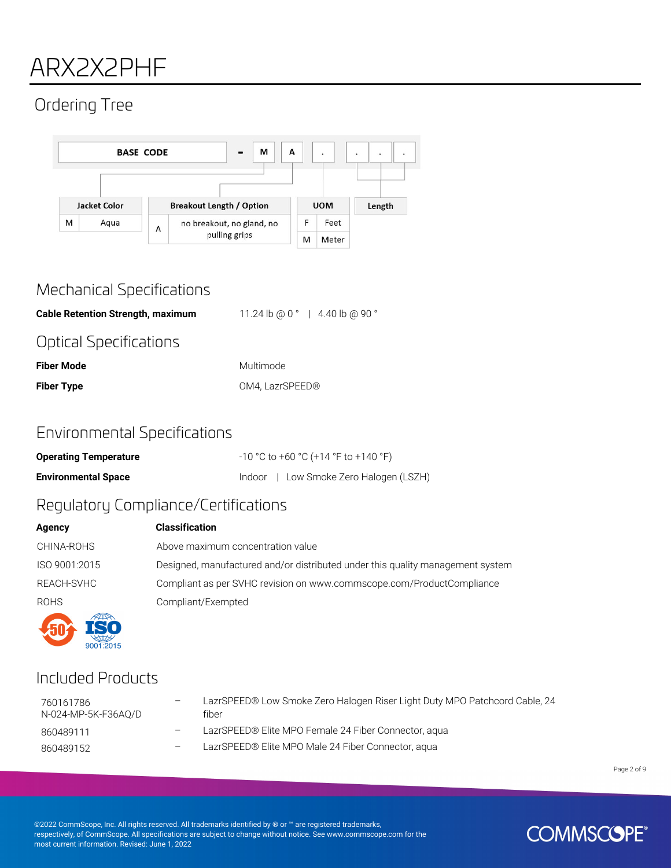# ARX2X2PHF

# Ordering Tree



### Mechanical Specifications

**Cable Retention Strength, maximum** 11.24 lb @ 0 ° | 4.40 lb @ 90 ° Optical Specifications

| <b>Fiber Mode</b> | Multimode       |
|-------------------|-----------------|
| <b>Fiber Type</b> | OM4, LazrSPEED® |

### Environmental Specifications

| <b>Operating Temperature</b> | $-10$ °C to +60 °C (+14 °F to +140 °F) |
|------------------------------|----------------------------------------|
| <b>Environmental Space</b>   | Indoor   Low Smoke Zero Halogen (LSZH) |

## Regulatory Compliance/Certifications

| Agency        | <b>Classification</b>                                                          |
|---------------|--------------------------------------------------------------------------------|
| CHINA-ROHS    | Above maximum concentration value                                              |
| ISO 9001:2015 | Designed, manufactured and/or distributed under this quality management system |
| REACH-SVHC    | Compliant as per SVHC revision on www.commscope.com/ProductCompliance          |
| <b>ROHS</b>   | Compliant/Exempted                                                             |
|               |                                                                                |

### Included Products

 $9001:2015$ 

| 760161786<br>N-024-MP-5K-F36AO/D | LazrSPEED® Low Smoke Zero Halogen Riser Light Duty MPO Patchcord Cable, 24<br>fiber |
|----------------------------------|-------------------------------------------------------------------------------------|
| 860489111                        | LazrSPEED® Elite MPO Female 24 Fiber Connector, agua                                |
| 860489152                        | LazrSPEED® Elite MPO Male 24 Fiber Connector, agua                                  |

Page 2 of 9

©2022 CommScope, Inc. All rights reserved. All trademarks identified by ® or ™ are registered trademarks, respectively, of CommScope. All specifications are subject to change without notice. See www.commscope.com for the most current information. Revised: June 1, 2022

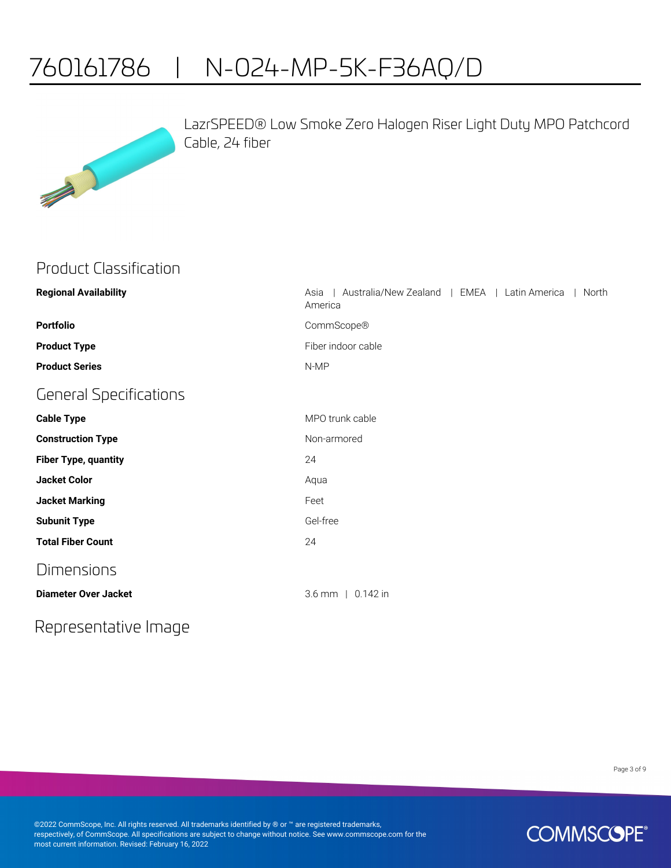# 760161786 | N-024-MP-5K-F36AQ/D



LazrSPEED® Low Smoke Zero Halogen Riser Light Duty MPO Patchcord Cable, 24 fiber

### Product Classification

| <b>Regional Availability</b>  | Australia/New Zealand   EMEA   Latin America<br>North<br>Asia<br>America |
|-------------------------------|--------------------------------------------------------------------------|
| <b>Portfolio</b>              | CommScope®                                                               |
| <b>Product Type</b>           | Fiber indoor cable                                                       |
| <b>Product Series</b>         | N-MP                                                                     |
| <b>General Specifications</b> |                                                                          |
| <b>Cable Type</b>             | MPO trunk cable                                                          |
| <b>Construction Type</b>      | Non-armored                                                              |
| <b>Fiber Type, quantity</b>   | 24                                                                       |
| <b>Jacket Color</b>           | Aqua                                                                     |
| <b>Jacket Marking</b>         | Feet                                                                     |
| <b>Subunit Type</b>           | Gel-free                                                                 |
| <b>Total Fiber Count</b>      | 24                                                                       |
| <b>Dimensions</b>             |                                                                          |
| <b>Diameter Over Jacket</b>   | $3.6$ mm   0.142 in                                                      |

### Representative Image

Page 3 of 9

©2022 CommScope, Inc. All rights reserved. All trademarks identified by ® or ™ are registered trademarks, respectively, of CommScope. All specifications are subject to change without notice. See www.commscope.com for the most current information. Revised: February 16, 2022

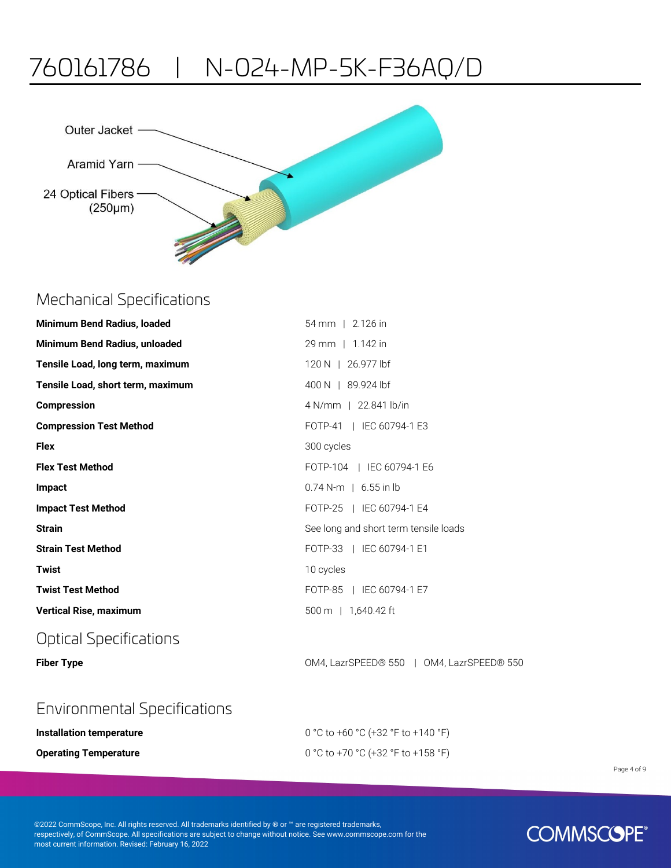# 760161786 | N-024-MP-5K-F36AQ/D



### Mechanical Specifications

| <b>Minimum Bend Radius, loaded</b> | 54 mm   2.126 in                      |
|------------------------------------|---------------------------------------|
| Minimum Bend Radius, unloaded      | 29 mm   1.142 in                      |
| Tensile Load, long term, maximum   | 120 N   26.977 lbf                    |
| Tensile Load, short term, maximum  | 400 N   89.924 lbf                    |
| <b>Compression</b>                 | 4 N/mm   22.841 lb/in                 |
| <b>Compression Test Method</b>     | FOTP-41   IEC 60794-1 E3              |
| <b>Flex</b>                        | 300 cycles                            |
| <b>Flex Test Method</b>            | FOTP-104   IEC 60794-1 E6             |
| Impact                             | $0.74$ N-m   6.55 in lb               |
| <b>Impact Test Method</b>          | FOTP-25   IEC 60794-1 E4              |
| <b>Strain</b>                      | See long and short term tensile loads |
| <b>Strain Test Method</b>          | FOTP-33   IEC 60794-1 E1              |
| <b>Twist</b>                       | 10 cycles                             |
| <b>Twist Test Method</b>           | FOTP-85   IEC 60794-1 E7              |
| <b>Vertical Rise, maximum</b>      | 500 m   1,640.42 ft                   |
| <b>Optical Specifications</b>      |                                       |

**Fiber Type COM4, LazrSPEED® 550 | OM4, LazrSPEED® 550 | OM4, LazrSPEED® 550** 

### Environmental Specifications

| Installation temperature     | 0 °C to +60 °C (+32 °F to +140 °F) |
|------------------------------|------------------------------------|
| <b>Operating Temperature</b> | 0 °C to +70 °C (+32 °F to +158 °F) |

©2022 CommScope, Inc. All rights reserved. All trademarks identified by ® or ™ are registered trademarks, respectively, of CommScope. All specifications are subject to change without notice. See www.commscope.com for the most current information. Revised: February 16, 2022

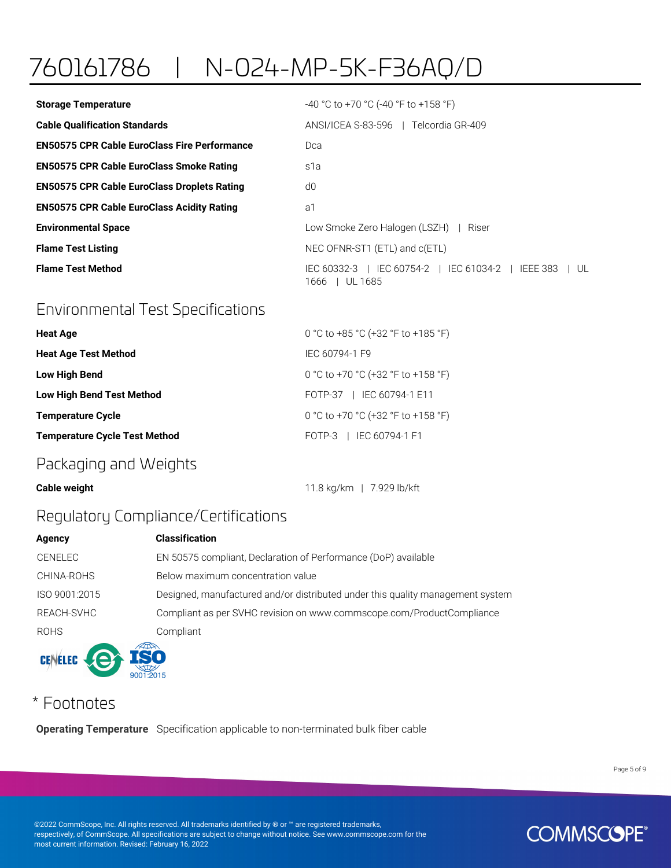# 760161786 | N-024-MP-5K-F36AQ/D

| <b>Storage Temperature</b>                          | $-40$ °C to +70 °C (-40 °F to +158 °F)                                              |
|-----------------------------------------------------|-------------------------------------------------------------------------------------|
| <b>Cable Qualification Standards</b>                | ANSI/ICEA S-83-596   Telcordia GR-409                                               |
| <b>EN50575 CPR Cable EuroClass Fire Performance</b> | Dca                                                                                 |
| <b>EN50575 CPR Cable EuroClass Smoke Rating</b>     | s1a                                                                                 |
| <b>EN50575 CPR Cable EuroClass Droplets Rating</b>  | d0                                                                                  |
| <b>EN50575 CPR Cable EuroClass Acidity Rating</b>   | a1                                                                                  |
| <b>Environmental Space</b>                          | Low Smoke Zero Halogen (LSZH)<br>Riser                                              |
| <b>Flame Test Listing</b>                           | NEC OFNR-ST1 (ETL) and c(ETL)                                                       |
| <b>Flame Test Method</b>                            | IEC 60754-2   IEC 61034-2  <br>IEC 60332-3 I<br>IEEE 383<br>I UL.<br>1666   UL 1685 |

# Environmental Test Specifications

| <b>Heat Age</b>                      | 0 °C to +85 °C (+32 °F to +185 °F) |
|--------------------------------------|------------------------------------|
| <b>Heat Age Test Method</b>          | IEC 60794-1 F9                     |
| <b>Low High Bend</b>                 | 0 °C to +70 °C (+32 °F to +158 °F) |
| <b>Low High Bend Test Method</b>     | FOTP-37   IEC 60794-1 E11          |
| <b>Temperature Cycle</b>             | 0 °C to +70 °C (+32 °F to +158 °F) |
| <b>Temperature Cycle Test Method</b> | FOTP-3   IEC 60794-1 F1            |
|                                      |                                    |

### Packaging and Weights

**Cable weight Cable weight** 11.8 kg/km | 7.929 lb/kft

## Regulatory Compliance/Certifications

 $9001:2015$ 

| Agency         | <b>Classification</b>                                                          |
|----------------|--------------------------------------------------------------------------------|
| <b>CENELEC</b> | EN 50575 compliant, Declaration of Performance (DoP) available                 |
| CHINA-ROHS     | Below maximum concentration value                                              |
| ISO 9001:2015  | Designed, manufactured and/or distributed under this quality management system |
| REACH-SVHC     | Compliant as per SVHC revision on www.commscope.com/ProductCompliance          |
| <b>ROHS</b>    | Compliant                                                                      |
| CENELEC CA ISO |                                                                                |

# \* Footnotes

**Operating Temperature** Specification applicable to non-terminated bulk fiber cable

Page 5 of 9

©2022 CommScope, Inc. All rights reserved. All trademarks identified by ® or ™ are registered trademarks, respectively, of CommScope. All specifications are subject to change without notice. See www.commscope.com for the most current information. Revised: February 16, 2022

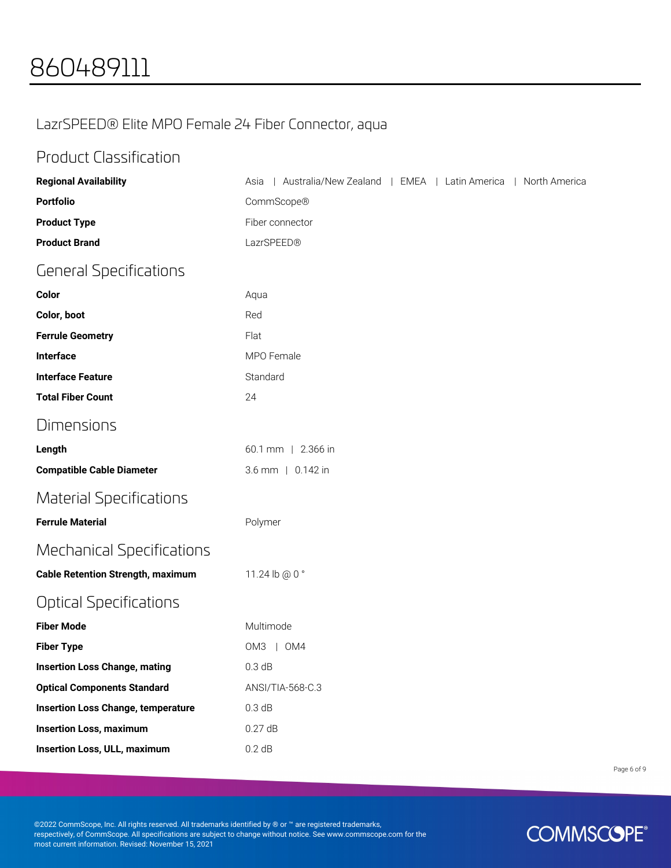## LazrSPEED® Elite MPO Female 24 Fiber Connector, aqua

### Product Classification

| <b>Regional Availability</b>              | Australia/New Zealand   EMEA   Latin America<br>  North America<br>Asia |
|-------------------------------------------|-------------------------------------------------------------------------|
| <b>Portfolio</b>                          | CommScope®                                                              |
| <b>Product Type</b>                       | Fiber connector                                                         |
| <b>Product Brand</b>                      | LazrSPEED®                                                              |
| <b>General Specifications</b>             |                                                                         |
| Color                                     | Aqua                                                                    |
| Color, boot                               | Red                                                                     |
| <b>Ferrule Geometry</b>                   | Flat                                                                    |
| Interface                                 | MPO Female                                                              |
| <b>Interface Feature</b>                  | Standard                                                                |
| <b>Total Fiber Count</b>                  | 24                                                                      |
| Dimensions                                |                                                                         |
| Length                                    | 60.1 mm   2.366 in                                                      |
| <b>Compatible Cable Diameter</b>          | 3.6 mm   0.142 in                                                       |
| <b>Material Specifications</b>            |                                                                         |
| <b>Ferrule Material</b>                   | Polymer                                                                 |
| <b>Mechanical Specifications</b>          |                                                                         |
| <b>Cable Retention Strength, maximum</b>  | 11.24 lb @ 0 °                                                          |
| <b>Optical Specifications</b>             |                                                                         |
| <b>Fiber Mode</b>                         | Multimode                                                               |
| <b>Fiber Type</b>                         | OM3   OM4                                                               |
| <b>Insertion Loss Change, mating</b>      | 0.3 dB                                                                  |
| <b>Optical Components Standard</b>        | ANSI/TIA-568-C.3                                                        |
| <b>Insertion Loss Change, temperature</b> | 0.3 dB                                                                  |
| <b>Insertion Loss, maximum</b>            | 0.27dB                                                                  |
| <b>Insertion Loss, ULL, maximum</b>       | 0.2 dB                                                                  |

Page 6 of 9

©2022 CommScope, Inc. All rights reserved. All trademarks identified by ® or ™ are registered trademarks, respectively, of CommScope. All specifications are subject to change without notice. See www.commscope.com for the most current information. Revised: November 15, 2021

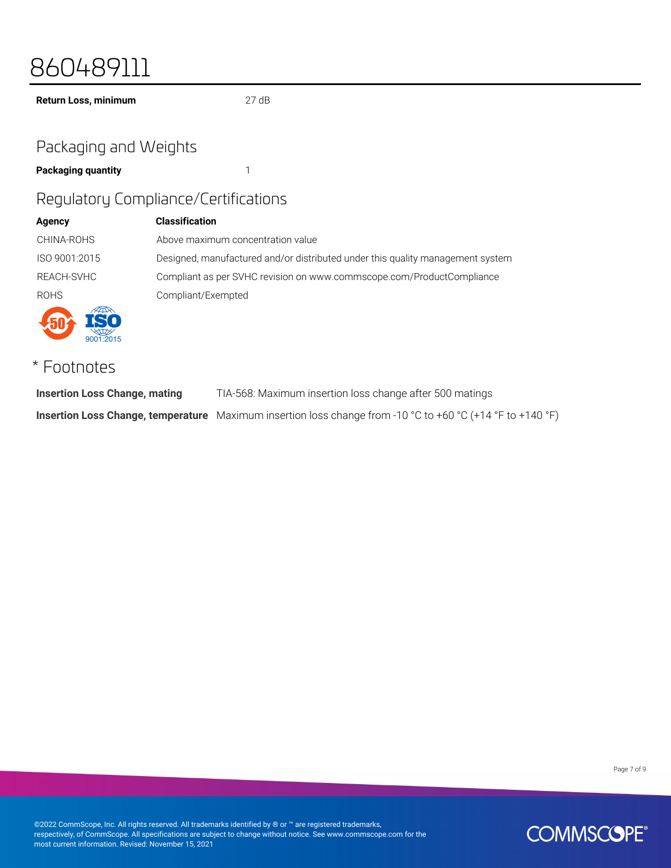# 860489111

**Return Loss, minimum** 27 dB

## Packaging and Weights

**Packaging quantity** 1

### Regulatory Compliance/Certifications

| <b>Agency</b> | <b>Classification</b>                                                          |
|---------------|--------------------------------------------------------------------------------|
| CHINA-ROHS    | Above maximum concentration value                                              |
| ISO 9001:2015 | Designed, manufactured and/or distributed under this quality management system |
| REACH-SVHC    | Compliant as per SVHC revision on www.commscope.com/ProductCompliance          |
| <b>ROHS</b>   | Compliant/Exempted                                                             |
|               |                                                                                |

# \* Footnotes

**Insertion Loss Change, mating** TIA-568: Maximum insertion loss change after 500 matings **Insertion Loss Change, temperature** Maximum insertion loss change from -10 °C to +60 °C (+14 °F to +140 °F)

Page 7 of 9

©2022 CommScope, Inc. All rights reserved. All trademarks identified by ® or ™ are registered trademarks, respectively, of CommScope. All specifications are subject to change without notice. See www.commscope.com for the most current information. Revised: November 15, 2021

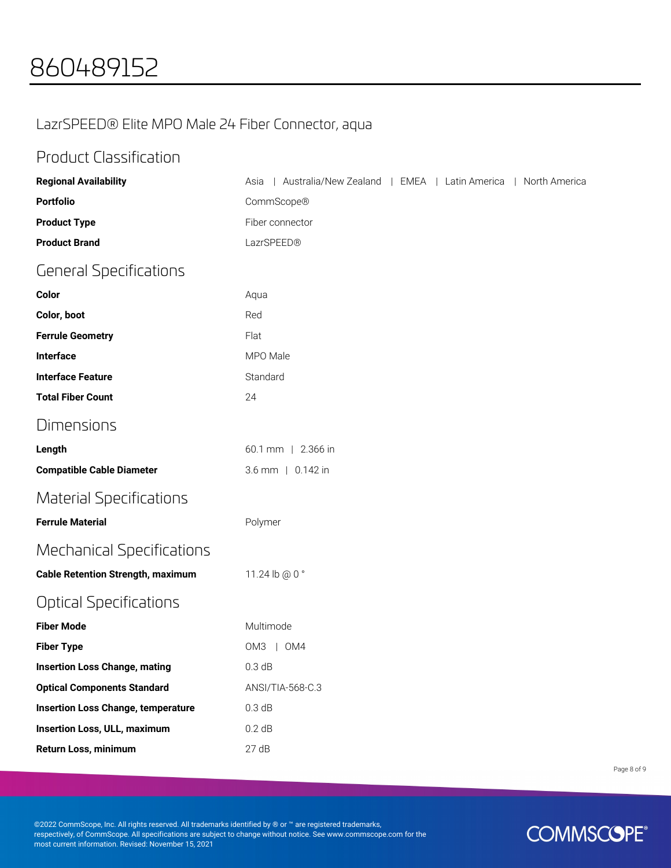## LazrSPEED® Elite MPO Male 24 Fiber Connector, aqua

## Product Classification

| <b>Regional Availability</b>              | Australia/New Zealand   EMEA   Latin America<br>  North America<br>Asia |
|-------------------------------------------|-------------------------------------------------------------------------|
| <b>Portfolio</b>                          | CommScope®                                                              |
| <b>Product Type</b>                       | Fiber connector                                                         |
| <b>Product Brand</b>                      | LazrSPEED®                                                              |
| <b>General Specifications</b>             |                                                                         |
| Color                                     | Aqua                                                                    |
| Color, boot                               | Red                                                                     |
| <b>Ferrule Geometry</b>                   | Flat                                                                    |
| Interface                                 | MPO Male                                                                |
| <b>Interface Feature</b>                  | Standard                                                                |
| <b>Total Fiber Count</b>                  | 24                                                                      |
| <b>Dimensions</b>                         |                                                                         |
| Length                                    | 60.1 mm   2.366 in                                                      |
| <b>Compatible Cable Diameter</b>          | 3.6 mm   0.142 in                                                       |
| <b>Material Specifications</b>            |                                                                         |
| <b>Ferrule Material</b>                   | Polymer                                                                 |
| <b>Mechanical Specifications</b>          |                                                                         |
| <b>Cable Retention Strength, maximum</b>  | 11.24 lb @ 0 °                                                          |
| <b>Optical Specifications</b>             |                                                                         |
| <b>Fiber Mode</b>                         | Multimode                                                               |
| <b>Fiber Type</b>                         | OM3   OM4                                                               |
| <b>Insertion Loss Change, mating</b>      | 0.3 dB                                                                  |
| <b>Optical Components Standard</b>        | ANSI/TIA-568-C.3                                                        |
| <b>Insertion Loss Change, temperature</b> | 0.3 dB                                                                  |
| <b>Insertion Loss, ULL, maximum</b>       | 0.2 dB                                                                  |
| Return Loss, minimum                      | 27dB                                                                    |

Page 8 of 9

©2022 CommScope, Inc. All rights reserved. All trademarks identified by ® or ™ are registered trademarks, respectively, of CommScope. All specifications are subject to change without notice. See www.commscope.com for the most current information. Revised: November 15, 2021